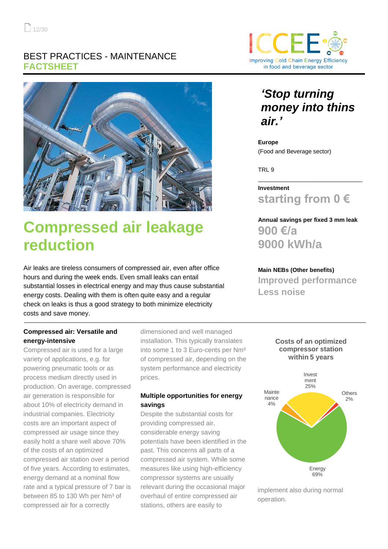### BEST PRACTICES - MAINTENANCE **FACTSHEET**



# **Compressed air leakage reduction**

Air leaks are tireless consumers of compressed air, even after office hours and during the week ends. Even small leaks can entail substantial losses in electrical energy and may thus cause substantial energy costs. Dealing with them is often quite easy and a regular check on leaks is thus a good strategy to both minimize electricity costs and save money.

#### **Compressed air: Versatile and energy-intensive**

Compressed air is used for a large variety of applications, e.g. for powering pneumatic tools or as process medium directly used in production. On average, compressed air generation is responsible for about 10% of electricity demand in industrial companies. Electricity costs are an important aspect of compressed air usage since they easily hold a share well above 70% of the costs of an optimized compressed air station over a period of five years. According to estimates, energy demand at a nominal flow rate and a typical pressure of 7 bar is between 85 to 130 Wh per Nm<sup>3</sup> of compressed air for a correctly

dimensioned and well managed installation. This typically translates into some 1 to 3 Euro-cents per Nm<sup>3</sup> of compressed air, depending on the system performance and electricity prices.

#### **Multiple opportunities for energy savings**

Despite the substantial costs for providing compressed air, considerable energy saving potentials have been identified in the past. This concerns all parts of a compressed air system. While some measures like using high-efficiency compressor systems are usually relevant during the occasional major overhaul of entire compressed air stations, others are easily to



## *'Stop turning money into thins air.'*

**Europe** (Food and Beverage sector)

TRL 9

**Investment starting from 0 €** 

\_\_\_\_\_\_\_\_\_\_\_\_\_\_\_\_\_\_\_\_\_\_\_\_\_\_\_\_\_\_\_\_

**Annual savings per fixed 3 mm leak 900 €/a 9000 kWh/a** 

**Main NEBs (Other benefits) Improved performance Less noise**

#### **Costs of an optimized compressor station within 5 years**



implement also during normal operation.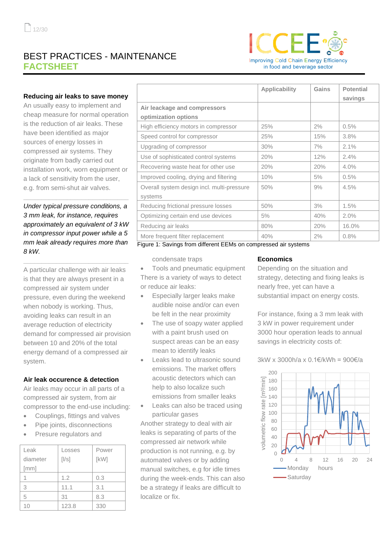## BEST PRACTICES - MAINTENANCE **FACTSHEET**



#### **Reducing air leaks to save money**

An usually easy to implement and cheap measure for normal operation is the reduction of air leaks. These have been identified as major sources of energy losses in compressed air systems. They originate from badly carried out installation work, worn equipment or a lack of sensitivity from the user, e.g. from semi-shut air valves.

*Under typical pressure conditions, a 3 mm leak, for instance, requires approximately an equivalent of 3 kW in compressor input power while a 5 mm leak already requires more than 8 kW.*

**\_\_\_\_\_\_\_\_\_\_\_\_\_\_\_\_\_\_\_\_\_\_\_\_\_\_\_\_\_**

**\_\_\_\_\_\_\_\_\_\_\_\_\_\_\_\_\_\_\_\_\_\_\_\_\_\_\_\_\_**

A particular challenge with air leaks is that they are always present in a compressed air system under pressure, even during the weekend when nobody is working. Thus, avoiding leaks can result in an average reduction of electricity demand for compressed air provision between 10 and 20% of the total energy demand of a compressed air system.

#### **Air leak occurence & detection**

Air leaks may occur in all parts of a compressed air system, from air compressor to the end-use including:

- Couplings, fittings and valves
- Pipe joints, disconnections
- Presure regulators and

| Leak     | Losses | Power |
|----------|--------|-------|
| diameter | [1/s]  | [kW]  |
| [mm]     |        |       |
|          | 1.2    | 0.3   |
| 3        | 11.1   | 3.1   |
| 5        | 31     | 8.3   |
| 10       | 123.8  | 330   |

|                                            | <b>Applicability</b> | Gains | <b>Potential</b><br>savings |
|--------------------------------------------|----------------------|-------|-----------------------------|
| Air leackage and compressors               |                      |       |                             |
| optimization options                       |                      |       |                             |
| High efficiency motors in compressor       | 25%                  | 2%    | 0.5%                        |
| Speed control for compressor               | 25%                  | 15%   | 3.8%                        |
| Upgrading of compressor                    | 30%                  | 7%    | 2.1%                        |
| Use of sophisticated control systems       | 20%                  | 12%   | 2.4%                        |
| Recovering waste heat for other use        | 20%                  | 20%   | 4.0%                        |
| Improved cooling, drying and filtering     | 10%                  | 5%    | 0.5%                        |
| Overall system design incl. multi-pressure | 50%                  | 9%    | 4.5%                        |
| systems                                    |                      |       |                             |
| Reducing frictional pressure losses        | 50%                  | 3%    | 1.5%                        |
| Optimizing certain end use devices         | 5%                   | 40%   | 2.0%                        |
| Reducing air leaks                         | 80%                  | 20%   | 16.0%                       |
| More frequent filter replacement           | 40%                  | 2%    | 0.8%                        |

Figure 1: Savings from different EEMs on compressed air systems

condensate traps

• Tools and pneumatic equipment There is a variety of ways to detect or reduce air leaks:

- Especially larger leaks make audible noise and/or can even be felt in the near proximity
- The use of soapy water applied with a paint brush used on suspect areas can be an easy mean to identify leaks
- Leaks lead to ultrasonic sound emissions. The market offers acoustic detectors which can help to also localize such emissions from smaller leaks
- Leaks can also be traced using particular gases

Another strategy to deal with air leaks is separating of parts of the compressed air network while production is not running, e.g. by automated valves or by adding manual switches, e.g for idle times during the week-ends. This can also be a strategy if leaks are difficult to localize or fix.

#### **Economics**

Depending on the situation and strategy, detecting and fixing leaks is nearly free, yet can have a substantial impact on energy costs.

For instance, fixing a 3 mm leak with 3 kW in power requirement under 3000 hour operation leads to annual savings in electricity costs of:

3kW x 3000h/a x 0.1€/kWh = 900€/a